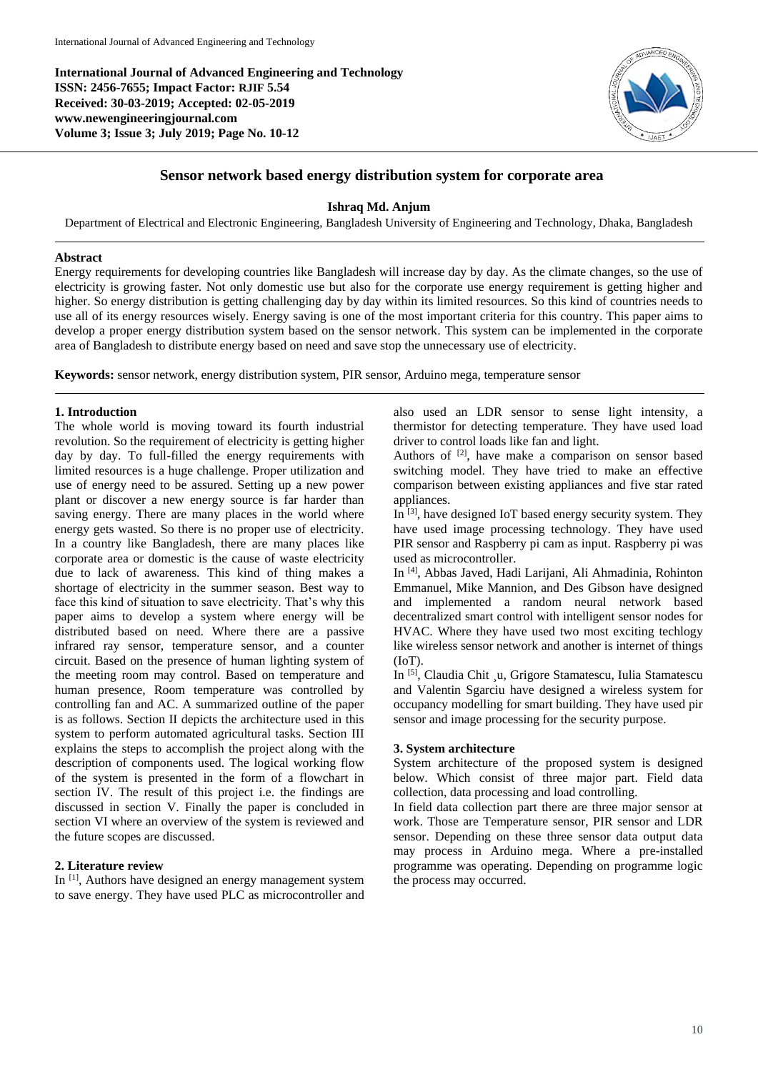**International Journal of Advanced Engineering and Technology ISSN: 2456-7655; Impact Factor: RJIF 5.54 Received: 30-03-2019; Accepted: 02-05-2019 www.newengineeringjournal.com Volume 3; Issue 3; July 2019; Page No. 10-12**



# **Sensor network based energy distribution system for corporate area**

### **Ishraq Md. Anjum**

Department of Electrical and Electronic Engineering, Bangladesh University of Engineering and Technology, Dhaka, Bangladesh

### **Abstract**

Energy requirements for developing countries like Bangladesh will increase day by day. As the climate changes, so the use of electricity is growing faster. Not only domestic use but also for the corporate use energy requirement is getting higher and higher. So energy distribution is getting challenging day by day within its limited resources. So this kind of countries needs to use all of its energy resources wisely. Energy saving is one of the most important criteria for this country. This paper aims to develop a proper energy distribution system based on the sensor network. This system can be implemented in the corporate area of Bangladesh to distribute energy based on need and save stop the unnecessary use of electricity.

**Keywords:** sensor network, energy distribution system, PIR sensor, Arduino mega, temperature sensor

## **1. Introduction**

The whole world is moving toward its fourth industrial revolution. So the requirement of electricity is getting higher day by day. To full-filled the energy requirements with limited resources is a huge challenge. Proper utilization and use of energy need to be assured. Setting up a new power plant or discover a new energy source is far harder than saving energy. There are many places in the world where energy gets wasted. So there is no proper use of electricity. In a country like Bangladesh, there are many places like corporate area or domestic is the cause of waste electricity due to lack of awareness. This kind of thing makes a shortage of electricity in the summer season. Best way to face this kind of situation to save electricity. That's why this paper aims to develop a system where energy will be distributed based on need. Where there are a passive infrared ray sensor, temperature sensor, and a counter circuit. Based on the presence of human lighting system of the meeting room may control. Based on temperature and human presence, Room temperature was controlled by controlling fan and AC. A summarized outline of the paper is as follows. Section II depicts the architecture used in this system to perform automated agricultural tasks. Section III explains the steps to accomplish the project along with the description of components used. The logical working flow of the system is presented in the form of a flowchart in section IV. The result of this project i.e. the findings are discussed in section V. Finally the paper is concluded in section VI where an overview of the system is reviewed and the future scopes are discussed.

# **2. Literature review**

In [1], Authors have designed an energy management system to save energy. They have used PLC as microcontroller and also used an LDR sensor to sense light intensity, a thermistor for detecting temperature. They have used load driver to control loads like fan and light.

Authors of  $[2]$ , have make a comparison on sensor based switching model. They have tried to make an effective comparison between existing appliances and five star rated appliances.

In  $^{[3]}$ , have designed IoT based energy security system. They have used image processing technology. They have used PIR sensor and Raspberry pi cam as input. Raspberry pi was used as microcontroller.

In [4], Abbas Javed, Hadi Larijani, Ali Ahmadinia, Rohinton Emmanuel, Mike Mannion, and Des Gibson have designed and implemented a random neural network based decentralized smart control with intelligent sensor nodes for HVAC. Where they have used two most exciting techlogy like wireless sensor network and another is internet of things (IoT).

In [5], Claudia Chit ¸u, Grigore Stamatescu, Iulia Stamatescu and Valentin Sgarciu have designed a wireless system for occupancy modelling for smart building. They have used pir sensor and image processing for the security purpose.

### **3. System architecture**

System architecture of the proposed system is designed below. Which consist of three major part. Field data collection, data processing and load controlling.

In field data collection part there are three major sensor at work. Those are Temperature sensor, PIR sensor and LDR sensor. Depending on these three sensor data output data may process in Arduino mega. Where a pre-installed programme was operating. Depending on programme logic the process may occurred.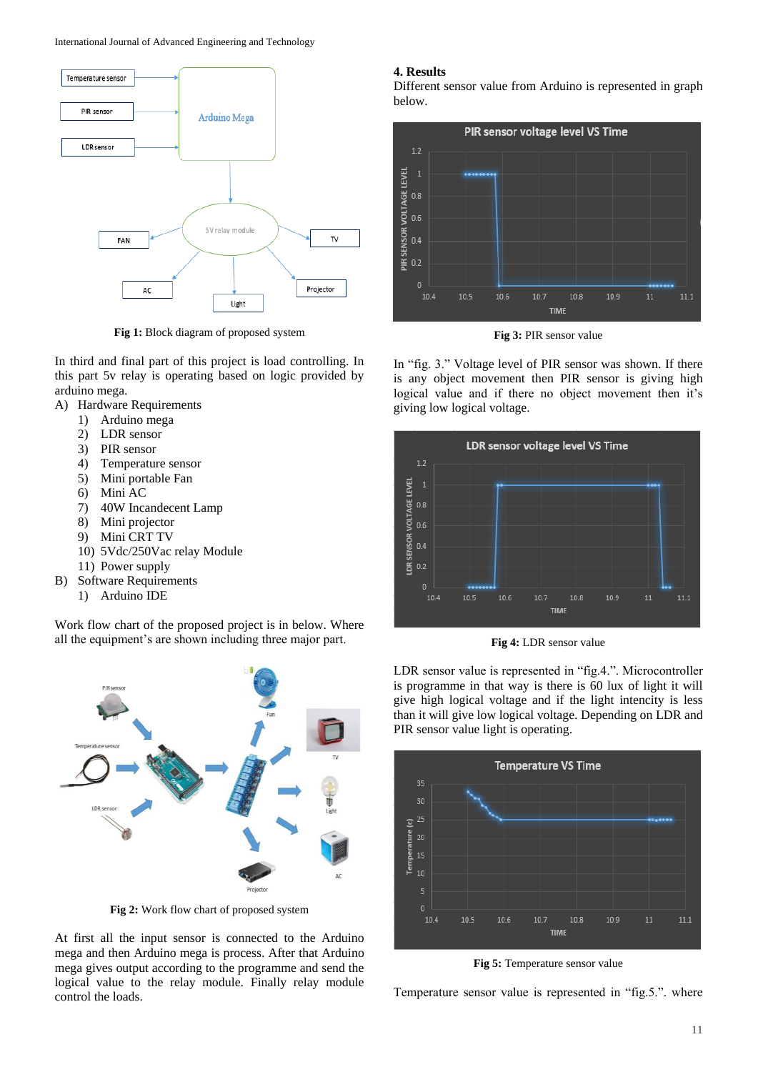International Journal of Advanced Engineering and Technology



**Fig 1:** Block diagram of proposed system

In third and final part of this project is load controlling. In this part 5v relay is operating based on logic provided by arduino mega.

- A) Hardware Requirements
	- 1) Arduino mega
	- 2) LDR sensor
	- 3) PIR sensor
	- 4) Temperature sensor
	- 5) Mini portable Fan
	- 6) Mini AC
	- 7) 40W Incandecent Lamp
	- 8) Mini projector
	- 9) Mini CRT TV
	- 10) 5Vdc/250Vac relay Module
	- 11) Power supply
- B) Software Requirements
	- 1) Arduino IDE

Work flow chart of the proposed project is in below. Where all the equipment's are shown including three major part.



**Fig 2:** Work flow chart of proposed system

At first all the input sensor is connected to the Arduino mega and then Arduino mega is process. After that Arduino mega gives output according to the programme and send the logical value to the relay module. Finally relay module control the loads.

#### **4. Results**

Different sensor value from Arduino is represented in graph below.



**Fig 3:** PIR sensor value

In "fig. 3." Voltage level of PIR sensor was shown. If there is any object movement then PIR sensor is giving high logical value and if there no object movement then it's giving low logical voltage.



**Fig 4:** LDR sensor value

LDR sensor value is represented in "fig.4.". Microcontroller is programme in that way is there is 60 lux of light it will give high logical voltage and if the light intencity is less than it will give low logical voltage. Depending on LDR and PIR sensor value light is operating.



**Fig 5:** Temperature sensor value

Temperature sensor value is represented in "fig.5.". where